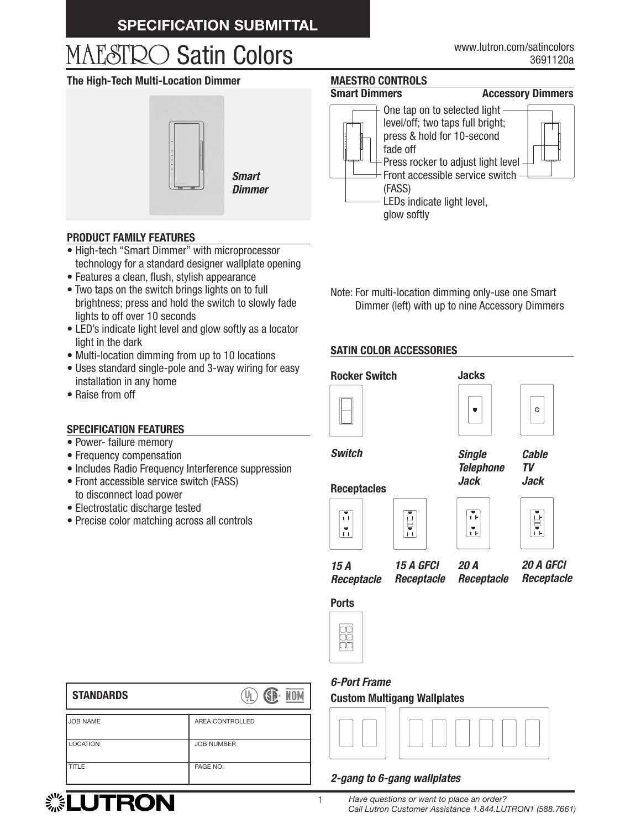# **SPECIFICATION SUBMITTAL**

# MAESTRO Satin Colors

#### **The High-Tech Multi-Location Dimmer**



*Dimmer*

#### 3691120a www.lutron.com/satincolors

# **MAESTRO CONTROLS**

#### **Smart Dimmers Accessory Dimmers**



#### **PRODUCT FAMILY FEATURES**

- High-tech "Smart Dimmer" with microprocessor technology for a standard designer wallplate opening
- Features a clean, flush, stylish appearance
- Two taps on the switch brings lights on to full brightness; press and hold the switch to slowly fade lights to off over 10 seconds
- LED's indicate light level and glow softly as a locator light in the dark
- Multi-location dimming from up to 10 locations
- Uses standard single-pole and 3-way wiring for easy installation in any home
- Raise from off

### **SPECIFICATION FEATURES**

- Power- failure memory
- Frequency compensation
- Includes Radio Frequency Interference suppression
- Front accessible service switch (FASS) to disconnect load power
- Electrostatic discharge tested
- Precise color matching across all controls

Note: For multi-location dimming only-use one Smart Dimmer (left) with up to nine Accessory Dimmers

## **SATIN COLOR ACCESSORIES**







*Switch*

*Single Telephone Jack*

*Cable TV Jack*

# **Receptacles**









*15 A Receptacle 15 A GFCI*

*Receptacle*

*20 A Receptacle*



**Ports** 



# *6-Port Frame*

**Custom Multigang Wallplates**



#### *2-gang to 6-gang wallplates*

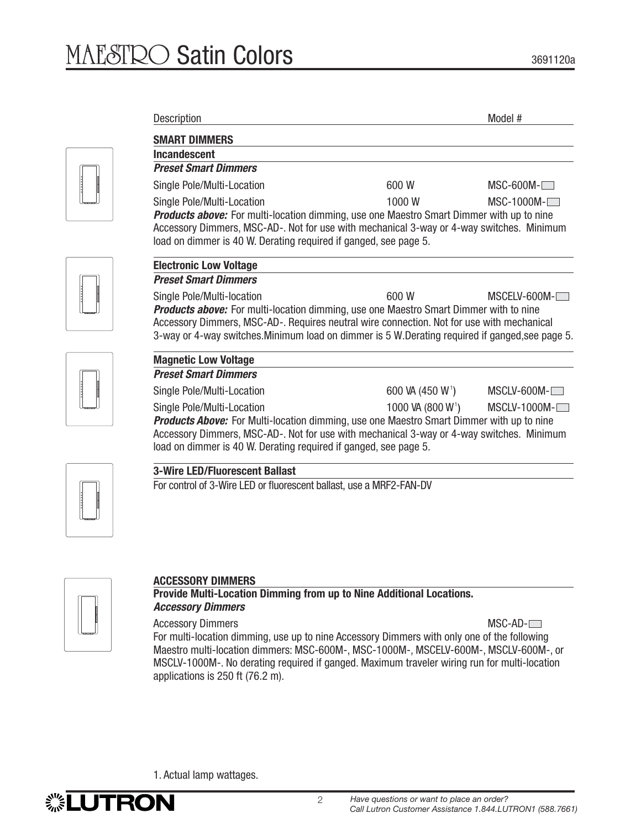| <b>Description</b>                                                                                                                                                                                                                                                                            |                               | Model #        |
|-----------------------------------------------------------------------------------------------------------------------------------------------------------------------------------------------------------------------------------------------------------------------------------------------|-------------------------------|----------------|
| <b>SMART DIMMERS</b>                                                                                                                                                                                                                                                                          |                               |                |
| Incandescent                                                                                                                                                                                                                                                                                  |                               |                |
| <b>Preset Smart Dimmers</b>                                                                                                                                                                                                                                                                   |                               |                |
| Single Pole/Multi-Location                                                                                                                                                                                                                                                                    | 600 W                         | $MSC-600M-$    |
| Single Pole/Multi-Location                                                                                                                                                                                                                                                                    | 1000 W                        | $MSC-1000M-$   |
| <b>Products above:</b> For multi-location dimming, use one Maestro Smart Dimmer with up to nine<br>Accessory Dimmers, MSC-AD-. Not for use with mechanical 3-way or 4-way switches. Minimum<br>load on dimmer is 40 W. Derating required if ganged, see page 5.                               |                               |                |
| <b>Electronic Low Voltage</b>                                                                                                                                                                                                                                                                 |                               |                |
| <b>Preset Smart Dimmers</b>                                                                                                                                                                                                                                                                   |                               |                |
| Single Pole/Multi-location                                                                                                                                                                                                                                                                    | 600 W                         | MSCELV-600M-I  |
| <b>Products above:</b> For multi-location dimming, use one Maestro Smart Dimmer with to nine<br>Accessory Dimmers, MSC-AD-. Requires neutral wire connection. Not for use with mechanical<br>3-way or 4-way switches. Minimum load on dimmer is 5 W. Derating required if ganged, see page 5. |                               |                |
| <b>Magnetic Low Voltage</b>                                                                                                                                                                                                                                                                   |                               |                |
| <b>Preset Smart Dimmers</b>                                                                                                                                                                                                                                                                   |                               |                |
| Single Pole/Multi-Location                                                                                                                                                                                                                                                                    | 600 VA (450 W <sup>1</sup> )  | $MSCLV-600M-$  |
| Single Pole/Multi-Location<br><b>Products Above:</b> For Multi-location dimming, use one Maestro Smart Dimmer with up to nine<br>Accessory Dimmers, MSC-AD-. Not for use with mechanical 3-way or 4-way switches. Minimum<br>load on dimmer is 40 W. Derating required if ganged, see page 5. | 1000 VA (800 W <sup>1</sup> ) | $MSCLV-1000M-$ |
| <b>3-Wire LED/Fluorescent Ballast</b>                                                                                                                                                                                                                                                         |                               |                |
|                                                                                                                                                                                                                                                                                               |                               |                |

For control of 3-Wire LED or fluorescent ballast, use a MRF2-FAN-DV



# **ACCESSORY DIMMERS**

**Provide Multi-Location Dimming from up to Nine Additional Locations.** *Accessory Dimmers*

Accessory Dimmers MSC-AD- $\Box$ For multi-location dimming, use up to nine Accessory Dimmers with only one of the following Maestro multi-location dimmers: MSC-600M-, MSC-1000M-, MSCELV-600M-, MSCLV-600M-, or MSCLV-1000M-. No derating required if ganged. Maximum traveler wiring run for multi-location applications is 250 ft (76.2 m).

1. Actual lamp wattages.

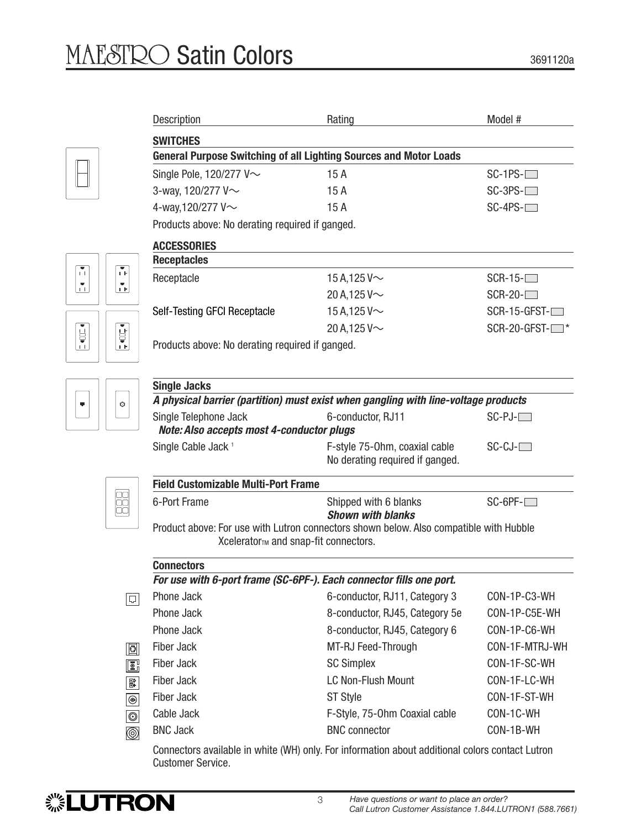|                | Description                                                                                                                    | Rating                                                                   | Model #           |  |  |
|----------------|--------------------------------------------------------------------------------------------------------------------------------|--------------------------------------------------------------------------|-------------------|--|--|
|                | <b>SWITCHES</b>                                                                                                                |                                                                          |                   |  |  |
|                |                                                                                                                                | <b>General Purpose Switching of all Lighting Sources and Motor Loads</b> |                   |  |  |
|                | Single Pole, 120/277 V~                                                                                                        | 15A                                                                      | $SC-1PS-$         |  |  |
|                | 3-way, 120/277 V~                                                                                                              | 15A                                                                      | $SC-3PS-$         |  |  |
|                | 4-way, 120/277 V~                                                                                                              | 15A                                                                      | $SC-4PS$ - $\Box$ |  |  |
|                | Products above: No derating required if ganged.                                                                                |                                                                          |                   |  |  |
|                | <b>ACCESSORIES</b>                                                                                                             |                                                                          |                   |  |  |
|                | <b>Receptacles</b>                                                                                                             |                                                                          |                   |  |  |
| <b>IF</b>      | Receptacle                                                                                                                     | 15 A, 125 V $\sim$                                                       | $SCR-15-$         |  |  |
| ň.             |                                                                                                                                | 20 A, 125 V $\sim$                                                       | $SCR-20-$         |  |  |
|                | Self-Testing GFCI Receptacle                                                                                                   | 15 A, 125 V $\sim$                                                       | $SCR-15-GFST-$    |  |  |
| Ů              |                                                                                                                                | 20 A, 125 V $\sim$                                                       | SCR-20-GFST-      |  |  |
| ΤF.            | Products above: No derating required if ganged.                                                                                |                                                                          |                   |  |  |
|                |                                                                                                                                |                                                                          |                   |  |  |
|                | <b>Single Jacks</b>                                                                                                            |                                                                          |                   |  |  |
| Ò              | A physical barrier (partition) must exist when gangling with line-voltage products                                             |                                                                          |                   |  |  |
|                | Single Telephone Jack                                                                                                          | 6-conductor, RJ11                                                        | $SC-PJ-$          |  |  |
|                | Note: Also accepts most 4-conductor plugs                                                                                      |                                                                          |                   |  |  |
|                | Single Cable Jack <sup>1</sup>                                                                                                 | F-style 75-0hm, coaxial cable                                            | $SC-CJ$ - $\Box$  |  |  |
|                |                                                                                                                                | No derating required if ganged.                                          |                   |  |  |
|                | <b>Field Customizable Multi-Port Frame</b>                                                                                     |                                                                          |                   |  |  |
| 00<br>00       | 6-Port Frame                                                                                                                   | Shipped with 6 blanks                                                    | $SC-6PF-$         |  |  |
|                |                                                                                                                                | <b>Shown with blanks</b>                                                 |                   |  |  |
|                | Product above: For use with Lutron connectors shown below. Also compatible with Hubble<br>Xcelerator™ and snap-fit connectors. |                                                                          |                   |  |  |
|                |                                                                                                                                |                                                                          |                   |  |  |
|                | <b>Connectors</b><br>For use with 6-port frame (SC-6PF-). Each connector fills one port.                                       |                                                                          |                   |  |  |
| 디              | Phone Jack                                                                                                                     | 6-conductor, RJ11, Category 3                                            | CON-1P-C3-WH      |  |  |
|                | Phone Jack                                                                                                                     | 8-conductor, RJ45, Category 5e                                           | CON-1P-C5E-WH     |  |  |
|                | Phone Jack                                                                                                                     | 8-conductor, RJ45, Category 6                                            | CON-1P-C6-WH      |  |  |
| 阃              | <b>Fiber Jack</b>                                                                                                              | MT-RJ Feed-Through                                                       | CON-1F-MTRJ-WH    |  |  |
| ß.             | <b>Fiber Jack</b>                                                                                                              | <b>SC Simplex</b>                                                        | CON-1F-SC-WH      |  |  |
| B              | <b>Fiber Jack</b>                                                                                                              | <b>LC Non-Flush Mount</b>                                                | CON-1F-LC-WH      |  |  |
| $\circledcirc$ | <b>Fiber Jack</b>                                                                                                              | <b>ST Style</b>                                                          | CON-1F-ST-WH      |  |  |
| $\circledcirc$ | Cable Jack                                                                                                                     | F-Style, 75-0hm Coaxial cable                                            | CON-1C-WH         |  |  |
| ◙              | <b>BNC Jack</b>                                                                                                                | <b>BNC</b> connector                                                     | CON-1B-WH         |  |  |
|                |                                                                                                                                |                                                                          |                   |  |  |

Connectors available in white (WH) only. For information about additional colors contact Lutron Customer Service.

 $\begin{bmatrix} 1 \\ 1 \\ 1 \end{bmatrix}$ 

 $\begin{tabular}{|c|c|} \hline \hline \hline \hline \hline \hline \hline \end{tabular}$ 

 $\sqrt{ }$ 

3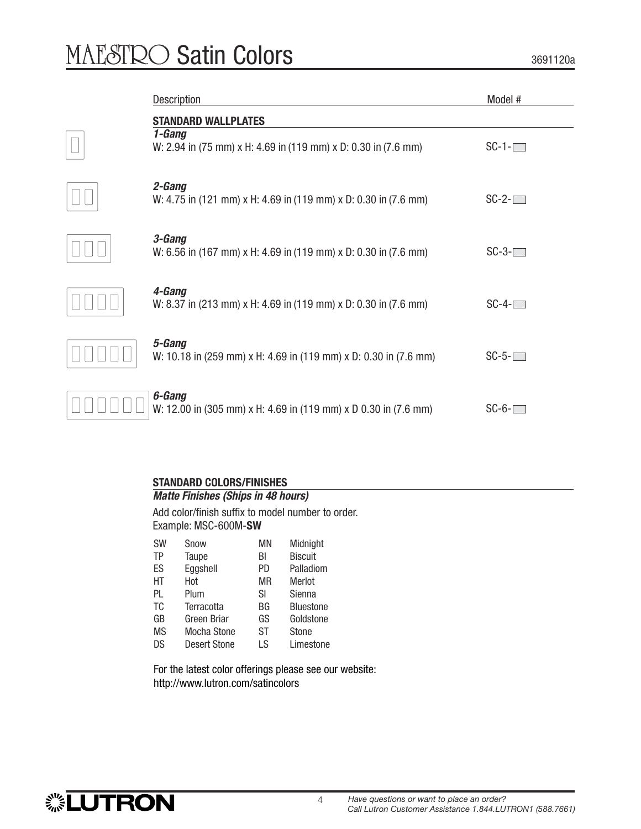# MAESTRO Satin Colors

 $\begin{array}{ccc} \hline \end{array}$ 

3691120a

| Description                                                                                            | Model #         |
|--------------------------------------------------------------------------------------------------------|-----------------|
| <b>STANDARD WALLPLATES</b><br>1-Gang<br>W: 2.94 in (75 mm) x H: 4.69 in (119 mm) x D: 0.30 in (7.6 mm) | $SC-1$ - $\Box$ |
| 2-Gang<br>W: 4.75 in (121 mm) x H: 4.69 in (119 mm) x D: 0.30 in (7.6 mm)                              | $SC-2$ - $\Box$ |
| 3-Gang<br>W: 6.56 in (167 mm) x H: 4.69 in (119 mm) x D: 0.30 in (7.6 mm)                              | $SC-3$ - $\Box$ |
| 4-Gang<br>W: 8.37 in (213 mm) x H: 4.69 in (119 mm) x D: 0.30 in (7.6 mm)                              | $SC-4-$         |
| 5-Gang<br>W: 10.18 in (259 mm) x H: 4.69 in (119 mm) x D: 0.30 in (7.6 mm)                             | $SC-5$ - $\Box$ |
| 6-Gang<br>W: 12.00 in (305 mm) x H: 4.69 in (119 mm) x D 0.30 in (7.6 mm)                              | $SC-6-$         |

## **STANDARD COLORS/FINISHES**

# *Matte Finishes (Ships in 48 hours)*

Add color/finish suffix to model number to order. Example: MSC-600M-**SW**

| <b>Biscuit</b>   |
|------------------|
|                  |
| Palladiom        |
| Merlot           |
| Sienna           |
| <b>Bluestone</b> |
| Goldstone        |
| <b>Stone</b>     |
| Limestone        |
|                  |

For the latest color offerings please see our website: http://www.lutron.com/satincolors

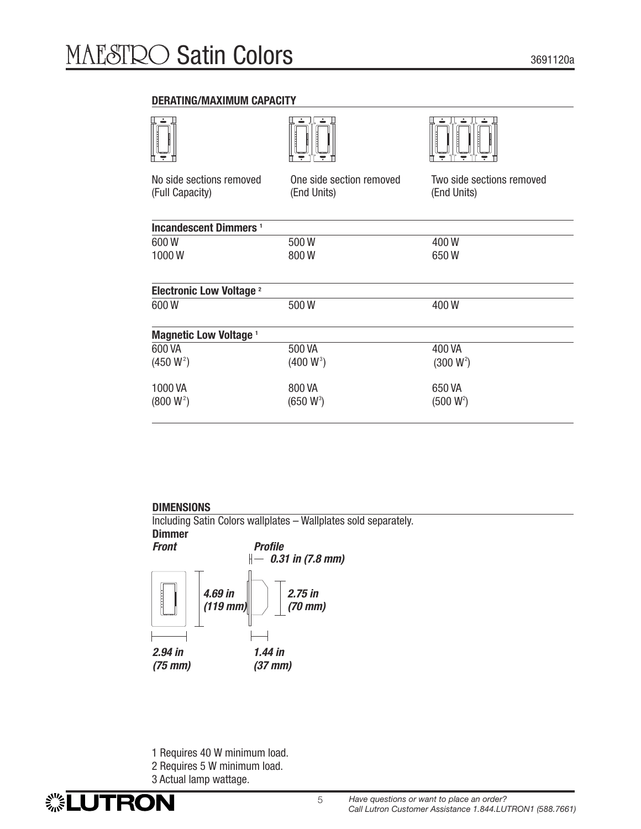#### **DERATING/MAXIMUM CAPACITY**

|                                             |                                         | Ţ                                        |
|---------------------------------------------|-----------------------------------------|------------------------------------------|
| No side sections removed<br>(Full Capacity) | One side section removed<br>(End Units) | Two side sections removed<br>(End Units) |
| <b>Incandescent Dimmers</b> <sup>1</sup>    |                                         |                                          |
| 600W                                        | 500W                                    | 400W                                     |
| 1000W                                       | 800W                                    | 650W                                     |
| <b>Electronic Low Voltage 2</b>             |                                         |                                          |
| 600W                                        | 500W                                    | 400W                                     |
| <b>Magnetic Low Voltage 1</b>               |                                         |                                          |
| 600 VA                                      | 500 VA                                  | 400 VA                                   |
| $(450 W^2)$                                 | $(400 W^3)$                             | $(300 W^2)$                              |
| 1000 VA                                     | 800 VA                                  | 650 VA                                   |
| $(800 W^2)$                                 | $(650 W^3)$                             | $(500 W^2)$                              |
|                                             |                                         |                                          |

# **DIMENSIONS**

Including Satin Colors wallplates – Wallplates sold separately.



- 1 Requires 40 W minimum load.
- 2 Requires 5 W minimum load.
- 3 Actual lamp wattage.

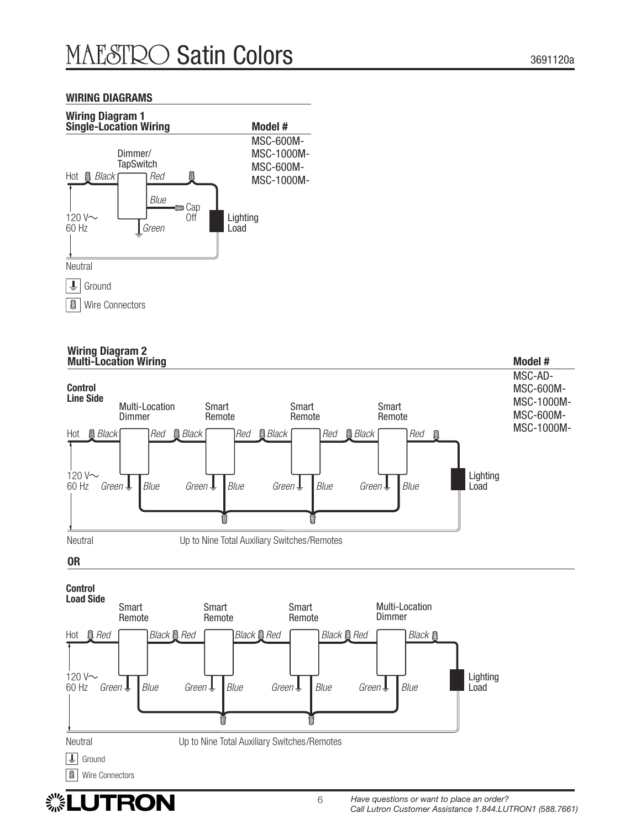#### **WIRING DIAGRAMS**



#### **Wiring Diagram 2 Multi-Location Wiring Model #**



# ▒LUTRON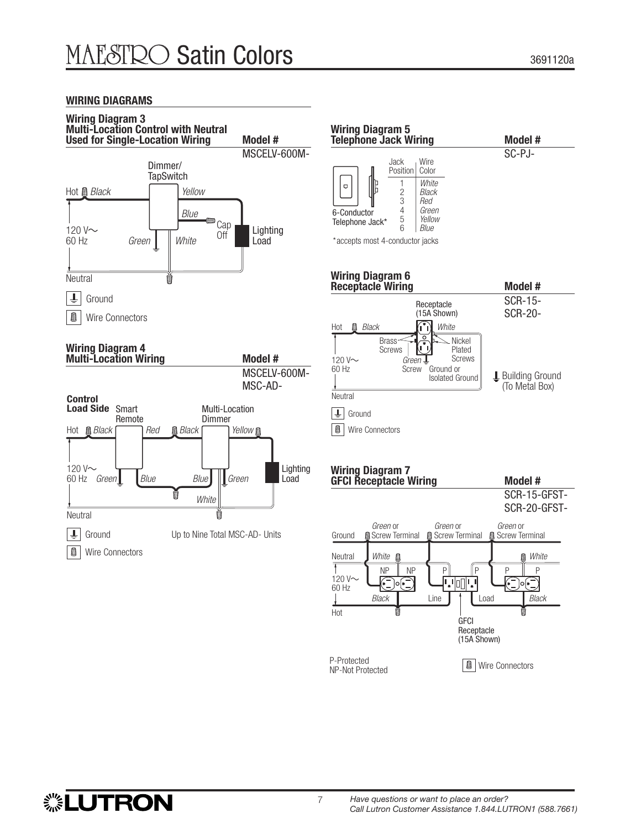#### **WIRING DIAGRAMS**





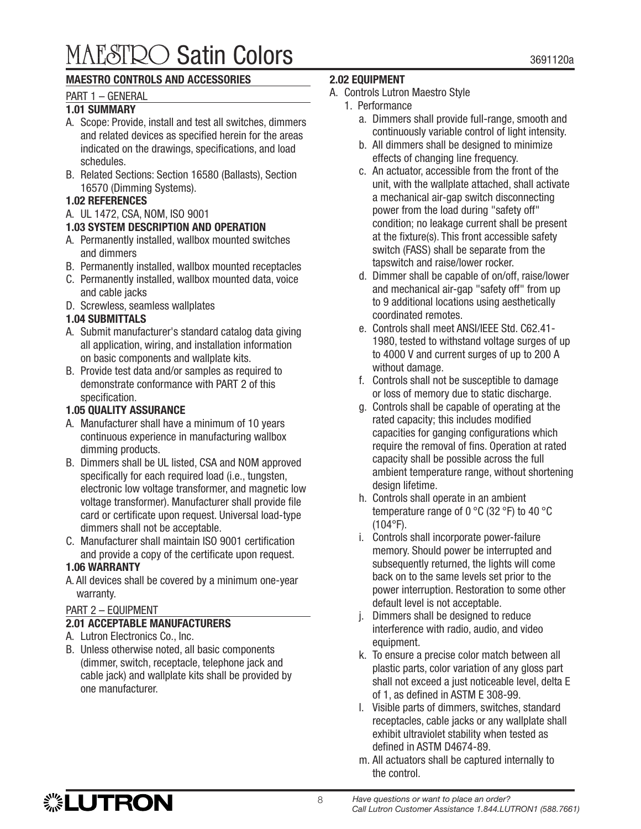# MAESTRO Satin Colors and the second second second second second second second second second second second second second second second second second second second second second second second second second second second seco

# **MAESTRO CONTROLS AND ACCESSORIES**

## PART 1 – GENERAL

## **1.01 SUMMARY**

- A. Scope: Provide, install and test all switches, dimmers and related devices as specified herein for the areas indicated on the drawings, specifications, and load schedules.
- B. Related Sections: Section 16580 (Ballasts), Section 16570 (Dimming Systems).

## **1.02 REFERENCES**

A. UL 1472, CSA, NOM, ISO 9001

# **1.03 SYSTEM DESCRIPTION AND OPERATION**

- A. Permanently installed, wallbox mounted switches and dimmers
- B. Permanently installed, wallbox mounted receptacles
- C. Permanently installed, wallbox mounted data, voice and cable jacks
- D. Screwless, seamless wallplates

# **1.04 SUBMITTALS**

- A. Submit manufacturer's standard catalog data giving all application, wiring, and installation information on basic components and wallplate kits.
- B. Provide test data and/or samples as required to demonstrate conformance with PART 2 of this specification.

## **1.05 QUALITY ASSURANCE**

- A. Manufacturer shall have a minimum of 10 years continuous experience in manufacturing wallbox dimming products.
- B. Dimmers shall be UL listed, CSA and NOM approved specifically for each required load (i.e., tungsten, electronic low voltage transformer, and magnetic low voltage transformer). Manufacturer shall provide file card or certificate upon request. Universal load-type dimmers shall not be acceptable.
- C. Manufacturer shall maintain ISO 9001 certification and provide a copy of the certificate upon request.

# **1.06 WARRANTY**

A. All devices shall be covered by a minimum one-year warranty.

# PART 2 – EQUIPMENT

# **2.01 ACCEPTABLE MANUFACTURERS**

- A. Lutron Electronics Co., Inc.
- B. Unless otherwise noted, all basic components (dimmer, switch, receptacle, telephone jack and cable jack) and wallplate kits shall be provided by one manufacturer.

#### **2.02 EQUIPMENT**

- A. Controls Lutron Maestro Style
	- 1. Performance
		- a. Dimmers shall provide full-range, smooth and continuously variable control of light intensity.
		- b. All dimmers shall be designed to minimize effects of changing line frequency.
		- c. An actuator, accessible from the front of the unit, with the wallplate attached, shall activate a mechanical air-gap switch disconnecting power from the load during "safety off" condition; no leakage current shall be present at the fixture(s). This front accessible safety switch (FASS) shall be separate from the tapswitch and raise/lower rocker.
		- d. Dimmer shall be capable of on/off, raise/lower and mechanical air-gap "safety off" from up to 9 additional locations using aesthetically coordinated remotes.
		- e. Controls shall meet ANSI/IEEE Std. C62.41- 1980, tested to withstand voltage surges of up to 4000 V and current surges of up to 200 A without damage.
		- f. Controls shall not be susceptible to damage or loss of memory due to static discharge.
		- g. Controls shall be capable of operating at the rated capacity; this includes modified capacities for ganging configurations which require the removal of fins. Operation at rated capacity shall be possible across the full ambient temperature range, without shortening design lifetime.
		- h. Controls shall operate in an ambient temperature range of 0 °C (32 °F) to 40 °C (104°F).
		- i. Controls shall incorporate power-failure memory. Should power be interrupted and subsequently returned, the lights will come back on to the same levels set prior to the power interruption. Restoration to some other default level is not acceptable.
		- j. Dimmers shall be designed to reduce interference with radio, audio, and video equipment.
		- k. To ensure a precise color match between all plastic parts, color variation of any gloss part shall not exceed a just noticeable level, delta E of 1, as defined in ASTM E 308-99.
		- l. Visible parts of dimmers, switches, standard receptacles, cable jacks or any wallplate shall exhibit ultraviolet stability when tested as defined in ASTM D4674-89.
		- m. All actuators shall be captured internally to the control.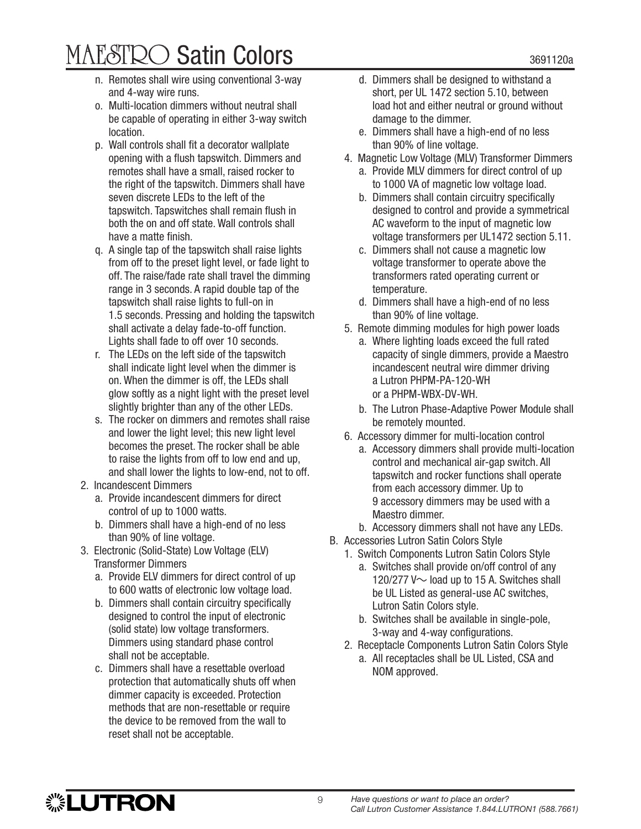# $\text{MAESTRO}$  Satin Colors  $_{3691120a}$

- n. Remotes shall wire using conventional 3-way and 4-way wire runs.
- o. Multi-location dimmers without neutral shall be capable of operating in either 3-way switch location.
- p. Wall controls shall fit a decorator wallplate opening with a flush tapswitch. Dimmers and remotes shall have a small, raised rocker to the right of the tapswitch. Dimmers shall have seven discrete LEDs to the left of the tapswitch. Tapswitches shall remain flush in both the on and off state. Wall controls shall have a matte finish.
- q. A single tap of the tapswitch shall raise lights from off to the preset light level, or fade light to off. The raise/fade rate shall travel the dimming range in 3 seconds. A rapid double tap of the tapswitch shall raise lights to full-on in 1.5 seconds. Pressing and holding the tapswitch shall activate a delay fade-to-off function. Lights shall fade to off over 10 seconds.
- r. The LEDs on the left side of the tapswitch shall indicate light level when the dimmer is on. When the dimmer is off, the LEDs shall glow softly as a night light with the preset level slightly brighter than any of the other LEDs.
- s. The rocker on dimmers and remotes shall raise and lower the light level; this new light level becomes the preset. The rocker shall be able to raise the lights from off to low end and up, and shall lower the lights to low-end, not to off.
- 2. Incandescent Dimmers

**. LUTRON** 

- a. Provide incandescent dimmers for direct control of up to 1000 watts.
- b. Dimmers shall have a high-end of no less than 90% of line voltage.
- 3. Electronic (Solid-State) Low Voltage (ELV) Transformer Dimmers
	- a. Provide ELV dimmers for direct control of up to 600 watts of electronic low voltage load.
	- b. Dimmers shall contain circuitry specifically designed to control the input of electronic (solid state) low voltage transformers. Dimmers using standard phase control shall not be acceptable.
	- c. Dimmers shall have a resettable overload protection that automatically shuts off when dimmer capacity is exceeded. Protection methods that are non-resettable or require the device to be removed from the wall to reset shall not be acceptable.
- d. Dimmers shall be designed to withstand a short, per UL 1472 section 5.10, between load hot and either neutral or ground without damage to the dimmer.
- e. Dimmers shall have a high-end of no less than 90% of line voltage.
- 4. Magnetic Low Voltage (MLV) Transformer Dimmers
	- a. Provide MLV dimmers for direct control of up to 1000 VA of magnetic low voltage load.
	- b. Dimmers shall contain circuitry specifically designed to control and provide a symmetrical AC waveform to the input of magnetic low voltage transformers per UL1472 section 5.11.
	- c. Dimmers shall not cause a magnetic low voltage transformer to operate above the transformers rated operating current or temperature.
	- d. Dimmers shall have a high-end of no less than 90% of line voltage.
- 5. Remote dimming modules for high power loads
	- a. Where lighting loads exceed the full rated capacity of single dimmers, provide a Maestro incandescent neutral wire dimmer driving a Lutron PHPM-PA-120-WH or a PHPM-WBX-DV-WH.
	- b. The Lutron Phase-Adaptive Power Module shall be remotely mounted.
- 6. Accessory dimmer for multi-location control
	- a. Accessory dimmers shall provide multi-location control and mechanical air-gap switch. All tapswitch and rocker functions shall operate from each accessory dimmer. Up to 9 accessory dimmers may be used with a Maestro dimmer.
	- b. Accessory dimmers shall not have any LEDs.
- B. Accessories Lutron Satin Colors Style
	- 1. Switch Components Lutron Satin Colors Style
		- a. Switches shall provide on/off control of any 120/277 V $\sim$  load up to 15 A. Switches shall be UL Listed as general-use AC switches, Lutron Satin Colors style.
		- b. Switches shall be available in single-pole, 3-way and 4-way configurations.
	- 2. Receptacle Components Lutron Satin Colors Style
		- a. All receptacles shall be UL Listed, CSA and NOM approved.